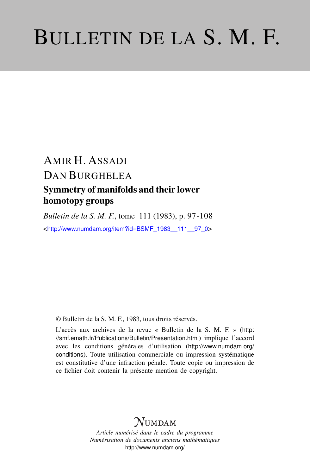# BULLETIN DE LA S. M. F.

# AMIR H. ASSADI DAN BURGHELEA Symmetry of manifolds and their lower homotopy groups

*Bulletin de la S. M. F.*, tome 111 (1983), p. 97-108 <[http://www.numdam.org/item?id=BSMF\\_1983\\_\\_111\\_\\_97\\_0](http://www.numdam.org/item?id=BSMF_1983__111__97_0)>

© Bulletin de la S. M. F., 1983, tous droits réservés.

L'accès aux archives de la revue « Bulletin de la S. M. F. » ([http:](http://smf.emath.fr/Publications/Bulletin/Presentation.html) [//smf.emath.fr/Publications/Bulletin/Presentation.html](http://smf.emath.fr/Publications/Bulletin/Presentation.html)) implique l'accord avec les conditions générales d'utilisation ([http://www.numdam.org/](http://www.numdam.org/conditions) [conditions](http://www.numdam.org/conditions)). Toute utilisation commerciale ou impression systématique est constitutive d'une infraction pénale. Toute copie ou impression de ce fichier doit contenir la présente mention de copyright.

# NUMDAM

*Article numérisé dans le cadre du programme Numérisation de documents anciens mathématiques* <http://www.numdam.org/>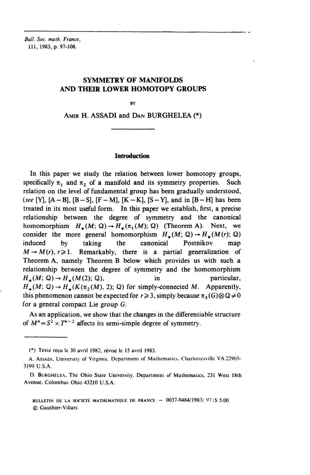*Bull. Soc. math. France,* 111, 1983, p. 97-108.

# **SYMMETRY OF MANIFOLDS AND THEIR LOWER HOMOTOPY GROUPS**

**BY** 

AMIR **H. ASSADI and DAN BURGHELEA** (\*)

## **Introduction**

In this paper we study the relation between lower homotopy groups, specifically  $\pi$ , and  $\pi$ <sub>2</sub> of a manifold and its symmetry properties. Such relation on the level of fundamental group has been gradually understood, *(see* [Y],  $[A - B]$ ,  $[B - S]$ ,  $[F - M]$ ,  $[K - K]$ ,  $[S - Y]$ , and in  $[B - H]$  has been treated in its most useful form. In this paper we establish, first, a precise relationship between the degree of symmetry and the canonical homomorphism  $H_*(M; \mathbb{Q}) \to H_*(\pi_1(M); \mathbb{Q})$  (Theorem A). Next, we consider the more general homomorphism  $H_*(M; \mathbb{Q}) \to H_*(M (r); \mathbb{Q})$ induced by taking the canonical Postnikov map  $M \rightarrow M(r), r \ge 1$ . Remarkably, there is a partial generalization of Theorem **A,** namely Theorem B below which provides us with such a relationship between the degree of symmetry and the homomorphism  $H_*(M; \mathbb{Q}) \to H_*(M(2); \mathbb{Q}),$  in particular,  $H_*(M; \mathbb{Q}) \to H_*(K(\pi_2(M), 2); \mathbb{Q})$  for simply-connected M. Apparently, this phenomenon cannot be expected for  $r \geq 3$ , simply because  $\pi_3(G) \otimes \mathbb{Q} \neq 0$ for a general compact Lie group G.

As an application, we show that the changes in the differentiable structure of  $M^n = S^2 \times T^{n-2}$  affects its semi-simple degree of symmetry.

(\*) Texte reçu le 30 avril 1982, révisé le 15 avril 1983.

BULLETIN DE LA SOCIÉTÉ MATHÉMATIQUE DE FRANCE  $-$  0037-9484/1983/97/\$ 5.00 © Gauthier-Villars

A. ASSADI, University of Virginia. Department of Mathematics, Charloitesvillc **VA** 22903- 3199 **U.S.A.**

D. BURGHELEA, The Ohio Slate University. Department of Mathematics, 231 West 18th Avenue, Colombus Ohio 43210 U.S.A.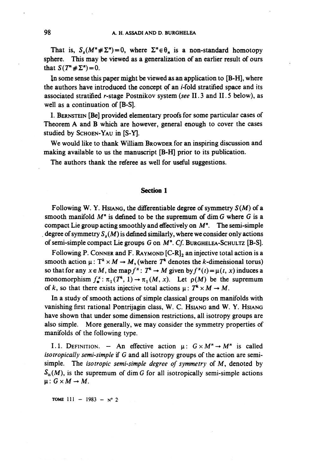That is,  $S_s(M^n \# \Sigma^n) = 0$ , where  $\Sigma^n \in \Theta_n$  is a non-standard homotopy sphere. This may be viewed as a generalization of an earlier result of ours that  $S(T^* \# \Sigma^n) = 0$ .

In some sense this paper might be viewed as an application to [B-H], where the authors have introduced the concept of an *i*-fold stratified space and its associated stratified r-stage Postnikov system *(see* 11.3 and 11.5 below), as well as a continuation of [B-S].

I. BERNSTEIN [Be] provided elementary proofs for some particular cases of Theorem A and B which are however, general enough to cover the cases studied by SCHOEN-YAU in [S-Y].

We would like to thank William BROWDER for an inspiring discussion and making available to us the manuscript [B-H] prior to its publication.

The authors thank the referee as well for useful suggestions.

## **Section 1**

Following W. Y. Hsiang, the differentiable degree of symmetry  $S(M)$  of a smooth manifold  $M<sup>n</sup>$  is defined to be the supremum of dim G where G is a compact Lie group acting smoothly and effectively on  $M<sup>n</sup>$ . The semi-simple degree of symmetry  $S_s(M)$  is defined similarly, where we consider only actions of semi-simple compact Lie groups *G* on M". Cf. BURGHELEA-SCHULTZ [B-S].

Following P. CONNER and F. RAYMOND  $[C-R]_2$  an injective total action is a smooth action  $\mu: T^k \times M \to M$ , (where  $T^k$  denotes the k-dimensional torus) so that for any  $x \in M$ , the map  $f^x$ :  $T^* \to M$  given by  $f^x(t) = \mu(t, x)$  induces a monomorphism  $f^x_* : \pi_1(T^*, 1) \to \pi_1(M, x)$ . Let  $\rho(M)$  be the supremum of k, so that there exists injective total actions  $\mu: T^* \times M \to M$ .

In a study of smooth actions of simple classical groups on manifolds with vanishing first rational Pontrijagin class, W. C. HSIANG and W. Y. HSIANG have shown that under some dimension restrictions, all isotropy groups are also simple. More generally, we may consider the symmetry properties of manifolds of the following type.

I.1. DEFINITION. - An effective action  $\mu: G \times M^n \rightarrow M^n$  is called *iso tropically semi-simple* if *G* and all isotropy groups of the action are semisimple. The *isotropic semi-simple degree of symmetry* of M, denoted by  $S<sub>is</sub>(M)$ , is the supremum of dim G for all isotropically semi-simple actions  $\mu: G\times M \rightarrow M$ .

**TOME**  $111 - 1983 - N^{\circ}2$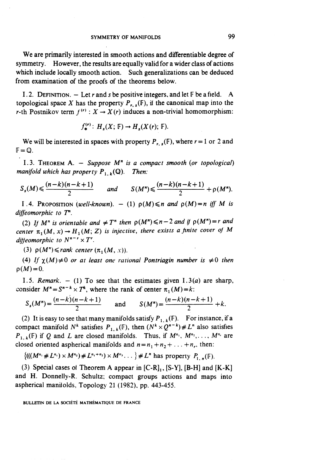We are primarily interested in smooth actions and differentiable degree of symmetry. However, the results are equally valid for a wider class of actions which include locally smooth action. Such generalizations can be deduced from examination of the proofs of the theorems below.

1.2. DEFINITION.  $-$  Let r and s be positive integers, and let  $\mathbb F$  be a field. A topological space X has the property  $P_{r,s}(\mathbb{F})$ , if the canonical map into the r-th Postnikov term  $f^{(r)}$  :  $X \to X(r)$  induces a non-trivial homomorphism:

$$
f_{\ast}^{(r)}\colon H_{s}(X;\mathbb{F})\to H_{s}(X(r);\mathbb{F}).
$$

We will be interested in spaces with property  $P_{r,s}(\mathbb{F})$ , where  $r=1$  or 2 and  $F = \mathbb{Q}$ .

1.3. THEOREM A. — *Suppose M" is a compact smooth (or topological) manifold which has property*  $P_{1, k}(\mathbb{Q})$ . Then:

$$
S_s(M) \leqslant \frac{(n-k)(n-k+1)}{2} \quad \text{and} \quad S(M^n) \leqslant \frac{(n-k)(n-k+1)}{2} + \rho(M^n).
$$

1.4. PROPOSITION (well-known).  $- (1)$   $p(M) \leq n$  and  $p(M)=n$  iff M is *diffeomorphic to T".*

(2) If  $M^n$  is orientable and  $\neq T^n$  then  $p(M^n) \leq n-2$  and if  $p(M^n)=r$  and center  $\pi_1(M, x) \to H_1(M, Z)$  is injective, there exists a finite cover of M *diffeomorphic to*  $N^{n-r} \times T^r$ .

(3)  $\rho(M^n) \leqslant rank \ center (\pi_1(M, x)).$ 

(4) If  $\chi(M) \neq 0$  or at least one rational Pontriagin number is  $\neq 0$  then  $p(M)=0$ .

1.5. *Remark.*  $- (1)$  To see that the estimates given  $1.3(a)$  are sharp,

consider 
$$
M^n = S^{n-k} \times T^k
$$
, where the rank of center  $\pi_1(M) = k$ :  
\n
$$
S_s(M^n) = \frac{(n-k)(n-k+1)}{2}
$$
 and 
$$
S(M^n) = \frac{(n-k)(n-k+1)}{2} + k
$$
.

(2) It is easy to see that many manifolds satisfy  $P_{1, k}(\mathbb{F})$ . For instance, if a compact manifold  $N^k$  satisfies  $P_{1,k}(\mathbb{F})$ , then  $(N^k \times Q^{n-k}) \neq L^n$  also satisfies  $P_{1, k}(\mathbb{F})$  if Q and L are closed manifolds. Thus, if  $M^{n_1}, M^{n_2}, \ldots, M^{n_r}$  are closed oriented aspherical manifolds and  $n = n_1 + n_2 + \ldots + n_r$ , then:

$$
\{(((M^{n_1} \# L^{n_1}) \times M^{n_2}) \# L^{n_1+n_2}) \times M^{n_3} \dots \} \# L^n \text{ has property } P_{1,n}(\mathbb{F}).
$$

(3) Special cases of Theorem A appear in  $[C-R]_1$ ,  $[S-Y]$ ,  $[B-H]$  and  $[K-K]$ and H. Donnelly-R. Schultz; compact groups actions and maps into aspherical manifolds. Topology 21 (1982), pp. 443-455.

BULLETIN DE LA SOCIÉTÉ MATHÉMATIQUE DE FRANCE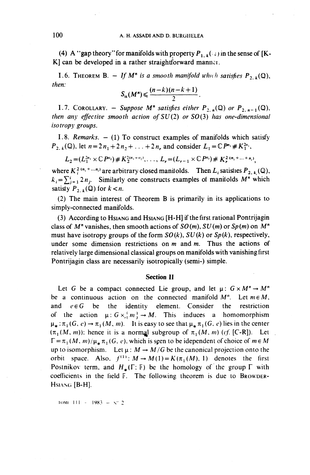(4) A "gap theory" for manifolds with property  $P_{1, k}(\cdot;\cdot)$  in the sense of [K-K] can be developed in a rather straightforward manner.

*n* a rather straightforward m<br> *If*  $M^n$  is a smooth manifold<br>  $S_{is}(M^n) \leq \frac{(n-k)(n-k+1)}{2}$ . 1.6. THEOREM B.  $-$  If M<sup>n</sup> is a smooth manifold which satisfies P<sub>2</sub> k(Q) then:

$$
S_{\rm is}(M^n)\leqslant \frac{(n-k)(n-k+1)}{2}.
$$

1.7. COROLLARY. - Suppose  $M^n$  satisfies either  $P_{2,n}(\mathbb{Q})$  or  $P_{2,n-1}(\mathbb{Q})$ , *then any effective smooth action of SU(2) or SO(3) has one-dimensional isotropy groups.*

1.8. *Remarks.*  $- (1)$  To construct examples of manifolds which satisfy P<sub>2.k</sub>(Q), let  $n = 2n_1 + 2n_2 + ... + 2n_r$  and consider  $L_1 = \mathbb{C}P^{n_1} \# K_1^{2n}$ 

$$
L_2 = (L_1^{2n_1} \times \mathbb{C} P^{n_2}) \# K_2^{2(n_1+n_2)}, \ldots, L_r = (L_{r-1} \times \mathbb{C} P^{n_r}) \# K_r^{2(n_1 + \ldots + n_r)}
$$

where  $K_i^{2(n_1 + ... n_i)}$  are arbitrary closed manifolds. Then L, satisfies  $P_{2k}$  (Q)  $k_i = \sum_{j=1}^{i} 2n_j$ . Similarly one constructs examples of manifolds M" which satisfy  $P_{2,k}(\mathbb{Q})$  for  $k < n$ .

(2) The main interest of Theorem B is primarily in its applications to simply-connected manifolds.

(3) According to HSIANG and HSIANG [H-H] if the first rational Pontrijagin class of  $M^n$  vanishes, then smooth actions of  $SO(m)$ ,  $SU(m)$  or  $Sp(m)$  on  $M^n$ must have isotropy groups of the form *S0(k), SU(k)* or *Sp(k),* respectively, under some dimension restrictions on *m* and m. Thus the actions of relatively large dimensional classical groups on manifolds with vanishing first Pontrijagin class are necessarily isotropically (semi-) simple.

### **Section II**

Let G be a compact connected Lie group, and let  $\mu: G \times M'' \to M''$ be a continuous action on the connected manifold  $M^n$ . Let  $m \in M$ , and  $e \in G$  be the identity element. Consider the restriction of the action  $\mu: G \times \{m\} \to M$ . This induces a homomorphism  $\mu_* : \pi_1 (G, e) \to \pi_1 (M, m)$ . It is easy to see that  $\mu_* \pi_1 (G, e)$  lies in the center  $(\pi_1(M, m))$ : hence it is a normal subgroup of  $\pi_1(M, m)$  (cf. [C-R]). Let  $\Gamma = \pi_1(M, m)/\mu_* \pi_1(G, e)$ , which is seen to be idependent of choice of  $m \in M$ up to isomorphism. Let  $\mu : M \to M/G$  be the canonical projection onto the orbit space. Also,  $f^{(1)}$ :  $M \rightarrow M(1) = K(\pi_1(M), 1)$  denotes the first Postnikov term, and  $H_*(\Gamma; \mathbb{F})$  be the homology of the group  $\Gamma$  with coefficients in the field F. The following theorem is due to BROWDER-HSIANG [B-H].

 $10M1$   $111 - 1983 - \sqrt{2}$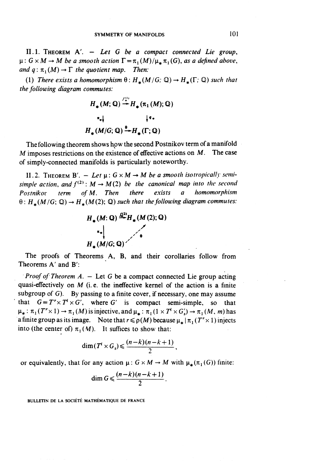11.1. THEOREM A\ — *Let G be a compact connected Lie group,*  $\mu: G \times M \to M$  be a smooth action  $\Gamma = \pi_1(M)/\mu_* \pi_1(G)$ , as a defined above, *and q*:  $\pi$ ,  $(M) \rightarrow \Gamma$  *the quotient map. Then:* 

(1) There exists a homomorphism  $\theta: H_*(M/G; \mathbb{Q}) \to H_*(\Gamma; \mathbb{Q})$  such that *the following diagram commutes:*

$$
H_*(M; \mathbb{Q}) \stackrel{f_+^{(1)}}{\rightarrow} H_*(\pi_1(M); \mathbb{Q})
$$
  
\n
$$
\pi_*| \qquad \qquad |^{q_*}
$$
  
\n
$$
H_*(M/G; \mathbb{Q}) \stackrel{\theta_*}{\rightarrow} H_*(\Gamma; \mathbb{Q})
$$

The following theorem shows how the second Postnikov term of a manifold *M* imposes restrictions on the existence of effective actions on *M.* The case of simply-connected manifolds is particularly noteworthy.

II.2. THEOREM B'.  $-$  Let  $\mu$ :  $G \times M \rightarrow M$  be a smooth isotropically semi*simple action, and*  $f^{(2)}$ :  $M \rightarrow M(2)$  *be the canonical map into the second Postnikov term ofM. Then there exists a homomorphism*  $\theta$ :  $H_+(M/G; \mathbb{Q}) \to H_+(M(2); \mathbb{Q})$  such that the following diagram commutes:



The proofs of Theorems A, B, and their corollaries follow from Theorems A' and B':

*Proof of Theorem A. – Let G be a compact connected Lie group acting* quasi-effectively on  $M$  (i.e. the ineffective kernel of the action is a finite subgroup of  $G$ ). By passing to a finite cover, if necessary, one may assume that  $G = T' \times T' \times G'$ , where G' is compact semi-simple, so that That  $G = T \times T \times G$ , where G is compact semi-simple, so that<br>  $\mu_* : \pi_1(T^r \times 1) \to \pi_1(M)$  is injective, and  $\mu_* : \pi_1(1 \times T^l \times G_s') \to \pi_1(M, m)$  has a finite group as its image. Note that  $r \leq \rho(M)$  because  $\mu_* | \pi_1(T' \times 1)$  injects into (the center of)  $\pi_1(M)$ . It suffices to show that:

$$
\dim(T^i \times G_s) \leqslant \frac{(n-k)(n-k+1)}{2}.
$$

or equivalently, that for any action  $\mu: G \times M \to M$  with  $\mu_*(\pi_1(G))$  finite:

$$
\dim G \leqslant \frac{(n-k)(n-k+1)}{2}.
$$

BULLETIN DE LA SOCIÉTÉ MATHÉMATIQUE DE FRANCE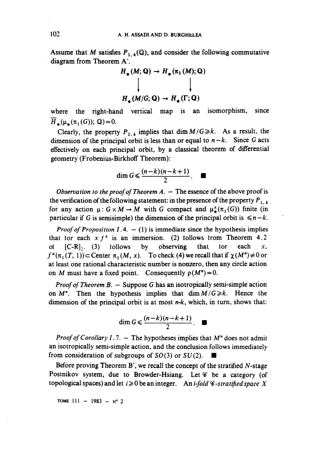Assume that M satisfies  $P_{1, k}(\mathbb{Q})$ , and consider the following commutative diagram from Theorem A'.

$$
H_{\bullet}(M; \mathbb{Q}) \to H_{\bullet}(\pi_1(M); \mathbb{Q})
$$
\n
$$
\downarrow \qquad \qquad \downarrow
$$
\n
$$
H_{\bullet}(M/G; \mathbb{Q}) \to H_{\bullet}(\Gamma; \mathbb{Q})
$$

where the right-hand vertical map is an isomorphism, since  $H_*(\mu_*(\pi_1(G));\mathbb{Q})=0.$ 

Clearly, the property  $P_{1, k}$  implies that dim  $M/G \ge k$ . As a result, the dimension of the principal orbit is less than or equal to  $n - k$ . Since G acts effectively on each principal orbit, by a classical theorem of differential geometry (Frobenius-Birkhoff Theorem):

$$
\dim G \leqslant \frac{(n-k)(n-k+1)}{2}.
$$

*Observation to the proof of Theorem A.* - The essence of the above proof is the verification of the following statement: in the presence of the property  $P_{1, k}$ for any action  $\mu$ :  $G \times M \rightarrow M$  with G compact and  $\mu^{\mathbf{x}}_{\ast}(\pi_1(G))$  finite (in particular if G is semisimple) the dimension of the principal orbit is  $\leq n-k$ .

*Proof of Proposition*  $I.4. - (1)$  is immediate since the hypothesis implies that for each  $x f^x$  is an immersion. (2) follows from Theorem 4.2 ot  $[C-R]$ . (3) follows by observing that for each x,  $f^{\ast}(\pi_1(T, 1)) \subset \text{Center } \pi_1(M, x)$ . To check (4) we recall that if  $\chi(M'') \neq 0$  or at least one rational characteristic number is nonzero, then any circle action on *M* must have a fixed point. Consequently  $\rho(M^n)=0$ .

*Proof of Theorem B. -* Suppose G has an isotropically semi-simple action on  $M^n$ . Then the hypothesis implies that  $\dim M/G \ge k$ . Hence the dimension of the principal orbit is at most *n-k,* which, in turn, shows that:

$$
\dim G \leqslant \frac{(n-k)(n-k+1)}{2}.
$$

*Proof of Corollary I.7.* - The hypotheses implies that  $M<sup>n</sup>$  does not admit an isotropically semi-simple action, and the conclusion follows immediately from consideration of subgroups of  $SO(3)$  or  $SU(2)$ .

Before proving Theorem B', we recall the concept of the stratified  $N$ -stage Postnikov system, due to Browder-Hsiang. Let  $\mathscr C$  be a category (of topological spaces) and let  $i \ge 0$  be an integer. An *i-fold*  $\mathscr C$ *-stratified space X* 

TOME 111  $-$  1983  $-$  N° 2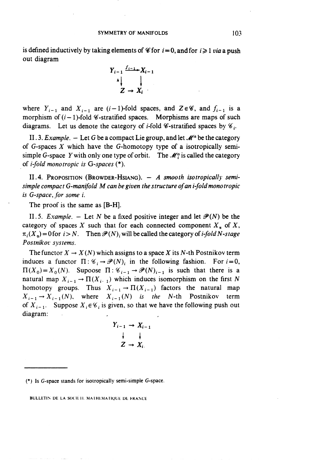is defined inductively by taking elements of  $\mathscr C$  for  $i = 0$ , and for  $i \ge 1$  *via* a push out diagram

$$
Y_{i-1} \downarrow \downarrow
$$
  
\n
$$
\downarrow \downarrow
$$
  
\n
$$
Z \rightarrow X_i
$$

where  $Y_{i-1}$  and  $X_{i-1}$  are  $(i-1)$ -fold spaces, and  $Z \in \mathscr{C}$ , and  $f_{i-1}$  is a morphism of  $(i - 1)$ -fold *C*-stratified spaces. Morphisms are maps of such diagrams. Let us denote the category of *i*-fold  $\mathscr{C}\text{-stratified spaces by  $\mathscr{C}_i$ .$ 

II.3. *Example.* – Let G be a compact Lie group, and let  $\mathcal{M}$ <sup>is</sup> be the category of G-spaces *X* which have the G-homotopy type of a isotropically semisimple G-space Y with only one type of orbit. The  $\mathcal{M}^s$  is called the category of *i-fold mono tropic is G-spaces* (\*).

11.4. PROPOSITION (BROWDER-HSIANG). — *A smooth isotropically semisimple compact G-manifold M can be given the structure of an i-fold mono tropic is* G-space, for some *i*.

The proof is the same as [B-H].

11.5. *Example.* – Let N be a fixed positive integer and let  $\mathcal{P}(N)$  be the category of spaces X such that for each connected component  $X_n$  of X,  $\pi_i(X_{\alpha}) = 0$  for  $i > N$ . Then  $\mathcal{P}(N)$ , will be called the category of *i-fold N-stage Postnikov systems.*

The functor  $X \to X(N)$  which assigns to a space X its N-th Postnikov term induces a functor  $\Pi:G_i\to\mathcal{P}(N)_i$  in the following fashion. For  $i=0$ ,  $\Pi(X_0) = X_0(N)$ . Supoose  $\Pi : \mathcal{C}_{i-1} \to \mathcal{P}(N)_{i-1}$  is such that there is a natural map  $X_{i-1} \to \Pi(X_{i-1})$  which induces isomorphism on the first N homotopy groups. Thus  $X_{i-1} \to \Pi(X_{i-1})$  factors the natural map  $X_{i-1} \to X_{i-1}(N)$ , where  $X_{i-1}(N)$  *is the* N-th Postnikov term of  $X_{i-1}$ . Suppose  $X_i \in \mathcal{C}_i$  is given, so that we have the following push out diagram:

$$
Y_{i-1} \rightarrow X_{i-1}
$$
  
\n
$$
\downarrow \qquad \qquad \downarrow
$$
  
\n
$$
Z \rightarrow X_{i}.
$$

(\*) Is G-space stands for isotropically semi-simple G-space.

BULLETIN DE LA SOCIÉTI. MATHEMATIOUE DE FRANCE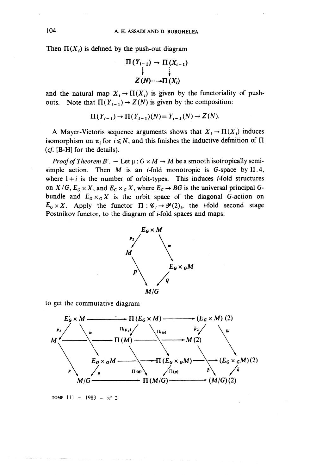Then  $\Pi(X_i)$  is defined by the push-out diagram

$$
\Pi(Y_{i-1}) \rightarrow \Pi(X_{i-1})
$$
  
\n
$$
\downarrow \qquad \qquad \downarrow
$$
  
\n
$$
Z(N) \cdots \rightarrow \Pi(X_i)
$$

and the natural map  $X_i \to \Pi(X_i)$  is given by the functoriality of pushouts. Note that  $\Pi(Y_{i-1}) \to Z(N)$  is given by the composition:

$$
\Pi(Y_{i-1}) \to \Pi(Y_{i-1})(N) = Y_{i-1}(N) \to Z(N).
$$

A Mayer-Vietoris sequence arguments shows that  $X_i \to \Pi(X_i)$  induces isomorphism on  $\pi_i$  for  $i \leq N$ , and this finishes the inductive definition of  $\Pi$ (cf. [B-H] for the details).

*Proof of Theorem B'*.  $-$  Let  $\mu$ :  $G \times M \rightarrow M$  be a smooth isotropically semisimple action. Then  $M$  is an *i*-fold monotropic is G-space by II.4, where  $1+i$  is the number of orbit-types. This induces *i*-fold structures on  $X/G$ ,  $E_G \times X$ , and  $E_G \times_G X$ , where  $E_G \rightarrow BG$  is the universal principal Gbundle and  $E_G \times_G X$  is the orbit space of the diagonal G-action on  $E_G \times X$ . Apply the functor  $\Pi : \mathscr{C}_i \to \mathscr{P}(2)_i$ , the *i*-fold second stage Postnikov functor, to the diagram of  $i$ -fold spaces and maps:



to get the commutative diagram



**TOME**  $111 - 1983 - N^{\circ}2$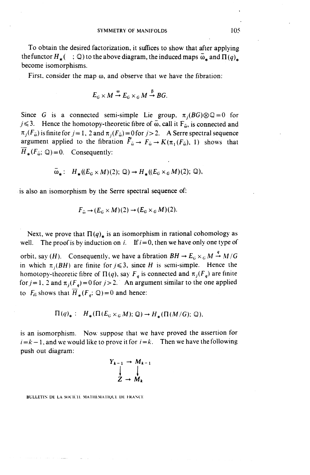To obtain the desired factorization, it suffices to show that after applying the functor  $H_*$  ( ; Q) to the above diagram, the induced maps  $\bar{\omega}_*$  and  $\Pi(q)_*$ become isomorphisms.

First, consider the map  $\omega$ , and observe that we have the fibration:

$$
E_G \times M \stackrel{\omega}{\rightarrow} E_G \times_G M \stackrel{\beta}{\rightarrow} BG.
$$

Since G is a connected semi-simple Lie group,  $\pi_j(BG) \otimes \mathbb{Q} = 0$  for  $j \leq 3$ . Hence the homotopy-theoretic fibre of  $\bar{\omega}$ , call it  $F_{\bar{\omega}}$ , is connected and  $\pi_j (F_{\overline{\omega}})$  is finite for *j* = 1, 2 and  $\pi_j (F_{\overline{\omega}}) = 0$  for *j* > 2. A Serre spectral sequence argument applied to the fibration  $\tilde{F}_{\bar{\omega}} \to F_{\bar{\omega}} \to K(\pi_1(F_{\bar{\omega}}), 1)$  shows that  $H_*(F_{\omega}; \mathbb{Q})=0$ . Consequently:

$$
\bar{\omega}_* : H_*(E_G \times M)(2); \mathbb{Q}) \to H_*(E_G \times_G M)(2); \mathbb{Q}),
$$

is also an isomorphism by the Serre spectral sequence of:

$$
F_{\bar{\omega}} \to (E_G \times M)(2) \to (E_G \times_G M)(2).
$$

Next, we prove that  $\Pi(q)_*$  is an isomorphism in rational cohomology as well. The proof is by induction on *i*. If  $i = 0$ , then we have only one type of

orbit, say (*H*). Consequently, we have a fibration  $BH \rightarrow E_G \times_G M \stackrel{q}{\rightarrow} M/G$ in which  $\pi$ <sub>i</sub>(BH) are finite for  $j \leq 3$ , since *H* is semi-simple. Hence the homotopy-theoretic fibre of  $\Pi(q)$ , say  $F_a$  is connected and  $\pi_i(F_a)$  are finite for  $j = 1$ , 2 and  $\pi_j(F_a) = 0$  for  $j > 2$ . An argument similar to the one applied to  $F_{\overline{p}}$  shows that  $\overline{H}_*(F_{\overline{p}}; \mathbb{Q})=0$  and hence:

$$
\Pi(q)_*: H_*(\Pi(E_G\times_G M); \mathbb{Q})\to H_*(\Pi(M/G); \mathbb{Q}),
$$

is an isomorphism. Now suppose that we have proved the assertion for  $i = k - 1$ , and we would like to prove it for  $i = k$ . Then we have the following push out diagram:

$$
Y_{k-1} \rightarrow M_{k-1}
$$
  
\n
$$
\downarrow
$$
  
\n
$$
Z \rightarrow M_k
$$

BULLETIN DE LA SOCIETE MATHÉMATIOUE DE FRANCE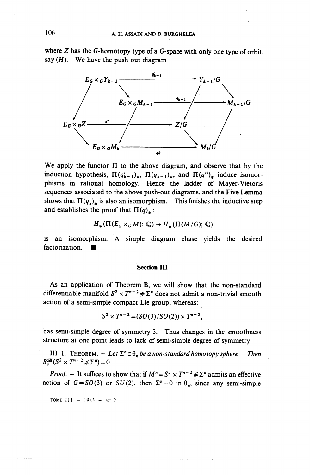where  $Z$  has the G-homotopy type of a G-space with only one type of orbit, say *(H).* **We** have the push out diagram



We apply the functor  $\Pi$  to the above diagram, and observe that by the induction hypothesis,  $\Pi(q^{\prime}_{k-1})_{\star}$ ,  $\Pi(q_{k-1})_{\star}$ , and  $\Pi(q^{\prime\prime})_{\star}$  induce isomorphisms in rational homology. Hence the ladder of Mayer-Vietoris sequences associated to the above push-out diagrams, and. the Five Lemma shows that  $\Pi(q_k)$ <sup>\*</sup> is also an isomorphism. This finishes the inductive step and establishes the proof that  $\Pi(q)_\star$ :

$$
H_{\ast}(\Pi(E_G\times_G M);\mathbb{Q})\to H_{\ast}(\Pi(M/G);\mathbb{Q})
$$

is an isomorphism. A simple diagram chase yields the desired factorization.  $\blacksquare$ 

### **Section III**

As an application of Theorem **B,** we will show that the non-standard differentiable manifold  $S^2 \times T^{n-2} \# \Sigma^n$  does not admit a non-trivial smooth action of a semi-simple compact Lie group, whereas:

$$
S^2 \times T^{n-2} = (SO(3)/SO(2)) \times T^{n-2},
$$

has semi-simple degree of symmetry 3. Thus changes in the smoothness structure at one point leads to lack of semi-simple degree of symmetry.

III.1. THEOREM.  $-Let \sum_{n=0}^{\infty} \sum_{n=0}^{\infty} a_n$  non-standard homotopy sphere. Then  $S_s^{\text{diff}}(S^2 \times T^{n-2} \# \Sigma^n) = 0.$ 

*Proof.* – It suffices to show that if  $M^n = S^2 \times T^{n-2} \neq \Sigma^n$  admits an effective action of  $G=SO(3)$  or  $SU(2)$ , then  $\Sigma<sup>n</sup>=0$  in  $\theta<sub>n</sub>$ , since any semi-simple

**TOME**  $111 - 1983 - 8^{\circ}2$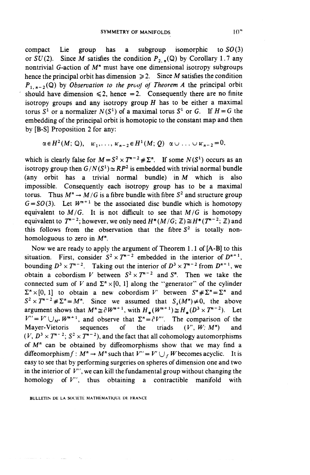compact Lie group has a subgroup isomorphic to *SO (3)* or  $SU(2)$ . Since M satisfies the condition  $P_{2,n}(\mathbb{Q})$  by Corollary 1.7 any nontrivial G-action of  $M<sup>n</sup>$  must have one dimensional isotropy subgroups hence the principal orbit has dimension  $\geq 2$ . Since *M* satisfies the condition  $P_{1,n-2}(\mathbb{Q})$  by *Observation to the proof of Theorem A* the principal orbit should have dimension  $\leq 2$ , hence = 2. Consequently there are no finite isotropy groups and any isotropy group *H* has to be either a maximal torus  $S^1$  or a normalizer  $N(S^1)$  of a maximal torus  $S^1$  or G. If  $H = G$  the embedding of the principal orbit is homotopic to the constant map and then by [B-S] Proposition 2 for any:

$$
\alpha \in H^2(M; \mathbb{Q}), \quad w_1, \ldots, w_{n-2} \in H^1(M; Q) \quad \alpha \cup \ldots \cup w_{n-2} = 0,
$$

which is clearly false for  $M = S^2 \times T^{n-2} \# \Sigma^n$ . If some  $N(S^1)$  occurs as an isotropy group then  $G/N(S^1) \simeq RP^2$  is embedded with trivial normal bundle (any orbit has a trivial normal bundle) in *M* which is also impossible. Consequently each isotropy group has to be a maximal torus. Thus  $M^n \to M/G$  is a fibre bundle with fibre  $S^2$  and structure group  $G = SO(3)$ . Let  $W^{n+1}$  be the associated disc bundle which is homotopy equivalent to  $M/G$ . It is not difficult to see that  $M/G$  is homotopy equivalent to  $T^{n-2}$ ; however, we only need  $H^*(M/G; \mathbb{Z}) \cong H^*(T^{n-2}; \mathbb{Z})$  and this follows from the observation that the fibre  $S^2$  is totally nonhomologuous to zero in  $M^n$ .

Now we are ready to apply the argument of Theorem 1.1 of [A-B] to this situation. First, consider  $S^2 \times T^{n-2}$  embedded in the interior of  $D^{n+1}$ , bounding  $D^3 \times T^{n-2}$ . Taking out the interior of  $D^3 \times T^{n-2}$  from  $D^{n+1}$ , we obtain a cobordism V between  $S^2 \times T^{n-2}$  and  $S^n$ . Then we take the connected sum of *V* and  $\Sigma$ <sup>n</sup> × [0, 1] along the "generator" of the cylinder  $\Sigma^n \times [0, 1]$  to obtain a new cobordism V' between  $S^n \neq \Sigma^n = \Sigma^n$  and  $S^2 \times T^{n-2} \neq \Sigma^n = M^n$ . Since we assumed that  $S_s(M^n) \neq 0$ , the above argument shows that  $M^n \cong \partial W^{n+1}$ , with  $H_*(W^{n+1}) \cong H_*(D^3 \times T^{n-2})$ . Let  $V'' = V' \cup_{M''} W^{m+1}$ , and observe that  $\Sigma^n = e^T V''$ . The comparison of the Mayer-Vietoris sequences of the triads *(V*', *W: M")* and  $(V, D^3 \times T^{n-2}; S^2 \times T^{n-2})$ , and the fact that all cohomology automorphisms of  $M<sup>n</sup>$  can be obtained by diffeomorphisms show that we may find a diffeomorphism  $f : M^n \to M^n$  such that  $V'' = V' \cup f$  W becomes acyclic. It is easy to see that by performing surgeries on spheres of dimension one and two in the interior of  $V'$ , we can kill the fundamental group without changing the homology of V", thus obtaining a contractible manifold with

BULLETIN DE LA SOCIÉTÉ MATHÉMATIQUE DE FRANCE